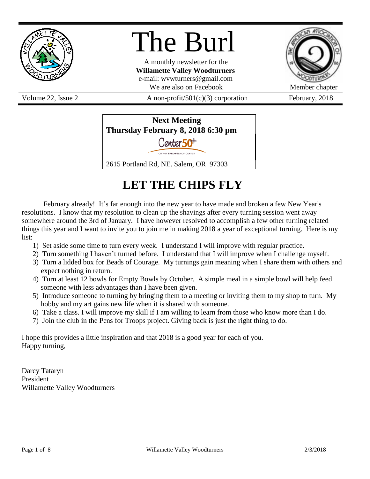

# The Burl

A monthly newsletter for the **Willamette Valley Woodturners** e-mail: wvwturners@gmail.com We are also on Facebook Member chapter

Volume 22, Issue 2  $A$  non-profit/501(c)(3) corporation February, 2018



# **LET THE CHIPS FLY**

February already! It's far enough into the new year to have made and broken a few New Year's resolutions. I know that my resolution to clean up the shavings after every turning session went away somewhere around the 3rd of January. I have however resolved to accomplish a few other turning related things this year and I want to invite you to join me in making 2018 a year of exceptional turning. Here is my list:

- 1) Set aside some time to turn every week. I understand I will improve with regular practice.
- 2) Turn something I haven't turned before. I understand that I will improve when I challenge myself.
- 3) Turn a lidded box for Beads of Courage. My turnings gain meaning when I share them with others and expect nothing in return.
- 4) Turn at least 12 bowls for Empty Bowls by October. A simple meal in a simple bowl will help feed someone with less advantages than I have been given.
- 5) Introduce someone to turning by bringing them to a meeting or inviting them to my shop to turn. My hobby and my art gains new life when it is shared with someone.
- 6) Take a class. I will improve my skill if I am willing to learn from those who know more than I do.
- 7) Join the club in the Pens for Troops project. Giving back is just the right thing to do.

I hope this provides a little inspiration and that 2018 is a good year for each of you. Happy turning,

Darcy Tataryn President Willamette Valley Woodturners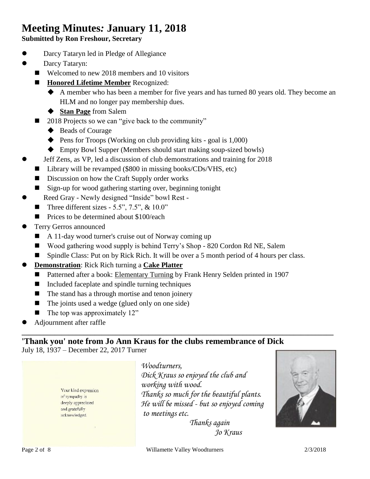# **Meeting Minutes***:* **January 11, 2018**

**Submitted by Ron Freshour, Secretary**

- Darcy Tataryn led in Pledge of Allegiance
- **•** Darcy Tataryn:
	- Welcomed to new 2018 members and 10 visitors
	- **Honored Lifetime Member** Recognized:
		- A member who has been a member for five years and has turned 80 years old. They become an HLM and no longer pay membership dues.
		- **Stan Page** from Salem
	- 2018 Projects so we can "give back to the community"
		- ◆ Beads of Courage
		- $\blacklozenge$  Pens for Troops (Working on club providing kits goal is 1,000)
		- ◆ Empty Bowl Supper (Members should start making soup-sized bowls)
	- Jeff Zens, as VP, led a discussion of club demonstrations and training for 2018
		- Library will be revamped (\$800 in missing books/CDs/VHS, etc)
		- Discussion on how the Craft Supply order works
	- Sign-up for wood gathering starting over, beginning tonight
		- Reed Gray Newly designed "Inside" bowl Rest -
	- Three different sizes 5.5",  $7.5$ ",  $\&$  10.0"
	- Prices to be determined about \$100/each
- Terry Gerros announced
	- A 11-day wood turner's cruise out of Norway coming up
	- Wood gathering wood supply is behind Terry's Shop 820 Cordon Rd NE, Salem
	- Spindle Class: Put on by Rick Rich. It will be over a 5 month period of 4 hours per class.

**\_\_\_\_\_\_\_\_\_\_\_\_\_\_\_\_\_\_\_\_\_\_\_\_\_\_\_\_\_\_\_\_\_\_\_\_\_\_\_\_\_\_\_\_\_\_\_\_\_\_\_\_\_\_\_\_\_\_\_\_\_\_\_\_\_\_\_\_\_\_\_\_\_\_\_\_\_\_\_\_\_\_\_\_\_\_**

- **Demonstration**: Rick Rich turning a **Cake Platter**
	- Patterned after a book: Elementary Turning by Frank Henry Selden printed in 1907
	- $\blacksquare$  Included faceplate and spindle turning techniques
	- $\blacksquare$  The stand has a through mortise and tenon joinery
	- $\blacksquare$  The joints used a wedge (glued only on one side)
	- $\blacksquare$  The top was approximately 12"
- Adjournment after raffle

# **'Thank you' note from Jo Ann Kraus for the clubs remembrance of Dick** July 18, 1937 – December 22, 2017 Turner

Your kind expression of sympathy is deeply appreciated and gratefully acknowledged.

*Woodturners, Dick Kraus so enjoyed the club and working with wood. Thanks so much for the beautiful plants. He will be missed - but so enjoyed coming to meetings etc.*



 *Thanks again Jo Kraus*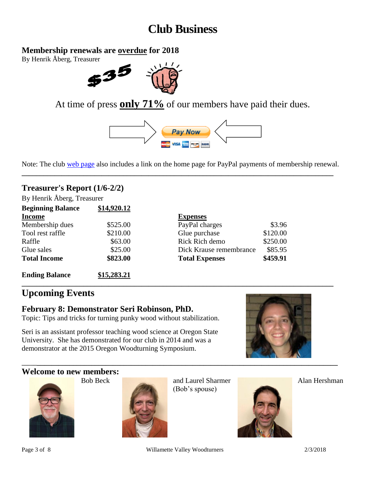# **Club Business**

# **Membership renewals are overdue for 2018**

By Henrik Åberg, Treasurer



At time of press **only 71%** of our members have paid their dues.



Note: The club [web page](http://www.willamettevalleywoodturners.com/) also includes a link on the home page for PayPal payments of membership renewal. **\_\_\_\_\_\_\_\_\_\_\_\_\_\_\_\_\_\_\_\_\_\_\_\_\_\_\_\_\_\_\_\_\_\_\_\_\_\_\_\_\_\_\_\_\_\_\_\_\_\_\_\_\_\_\_\_\_\_\_\_\_\_\_\_\_\_\_\_\_\_\_\_\_\_\_\_\_\_\_\_\_\_\_\_\_\_**

**\_\_\_\_\_\_\_\_\_\_\_\_\_\_\_\_\_\_\_\_\_\_\_\_\_\_\_\_\_\_\_\_\_\_\_\_\_\_\_\_\_\_\_\_\_\_\_\_\_\_\_\_\_\_\_\_\_\_\_\_\_\_\_\_\_\_\_\_\_\_\_\_\_\_\_\_\_\_\_\_\_\_\_\_\_\_**

# **Treasurer's Report (1/6-2/2)**

By Henrik Åberg, Treasurer **Beginning Balance \$14,920.12**

| <i>b</i> eginance     | $41.177$ average |                         |          |
|-----------------------|------------------|-------------------------|----------|
| <b>Income</b>         |                  | <b>Expenses</b>         |          |
| Membership dues       | \$525.00         | PayPal charges          | \$3.96   |
| Tool rest raffle      | \$210.00         | Glue purchase           | \$120.00 |
| Raffle                | \$63.00          | Rick Rich demo          | \$250.00 |
| Glue sales            | \$25.00          | Dick Krause remembrance | \$85.95  |
| <b>Total Income</b>   | \$823.00         | <b>Total Expenses</b>   | \$459.91 |
| <b>Ending Balance</b> | \$15,283.21      |                         |          |

# **Upcoming Events**

## **February 8: Demonstrator Seri Robinson, PhD.**

Topic: Tips and tricks for turning punky wood without stabilization.

Seri is an assistant professor teaching wood science at Oregon State University. She has demonstrated for our club in 2014 and was a demonstrator at the 2015 Oregon Woodturning Symposium.



#### **Welcome to new members:**





Bob Beck and Laurel Sharmer Alan Hershman (Bob's spouse)



Page 3 of 8 2/3/2018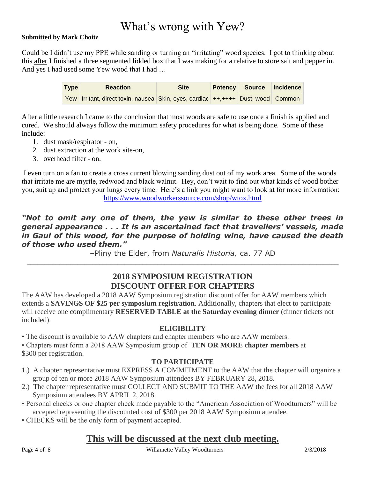# What's wrong with Yew?

#### **Submitted by Mark Choitz**

Could be I didn't use my PPE while sanding or turning an "irritating" wood species. I got to thinking about this after I finished a three segmented lidded box that I was making for a relative to store salt and pepper in. And yes I had used some Yew wood that I had …

| <b>Type</b> |  | <b>Reaction</b>                                                                  | <b>Site</b> | <b>Potency Source</b> | Incidence |
|-------------|--|----------------------------------------------------------------------------------|-------------|-----------------------|-----------|
|             |  | Yew Irritant, direct toxin, nausea Skin, eyes, cardiac ++,++++ Dust, wood Common |             |                       |           |

After a little research I came to the conclusion that most woods are safe to use once a finish is applied and cured. We should always follow the minimum safety procedures for what is being done. Some of these include:

- 1. dust mask/respirator on,
- 2. dust extraction at the work site-on,
- 3. overhead filter on.

I even turn on a fan to create a cross current blowing sanding dust out of my work area. Some of the woods that irritate me are myrtle, redwood and black walnut. Hey, don't wait to find out what kinds of wood bother you, suit up and protect your lungs every time. Here's a link you might want to look at for more information: <https://www.woodworkerssource.com/shop/wtox.html>

## *"Not to omit any one of them, the yew is similar to these other trees in general appearance . . . It is an ascertained fact that travellers' vessels, made in Gaul of this wood, for the purpose of holding wine, have caused the death of those who used them."*

–Pliny the Elder, from *Naturalis Historia,* ca. 77 AD **\_\_\_\_\_\_\_\_\_\_\_\_\_\_\_\_\_\_\_\_\_\_\_\_\_\_\_\_\_\_\_\_\_\_\_\_\_\_\_\_\_\_\_\_\_\_\_\_\_\_\_\_\_\_\_\_\_\_\_\_\_\_\_\_\_\_\_\_\_\_\_\_\_\_\_\_\_\_\_\_\_\_\_\_\_\_**

# **2018 SYMPOSIUM REGISTRATION DISCOUNT OFFER FOR CHAPTERS**

The AAW has developed a 2018 AAW Symposium registration discount offer for AAW members which extends a **SAVINGS OF \$25 per symposium registration**. Additionally, chapters that elect to participate will receive one complimentary **RESERVED TABLE at the Saturday evening dinner** (dinner tickets not included).

#### **ELIGIBILITY**

• The discount is available to AAW chapters and chapter members who are AAW members.

• Chapters must form a 2018 AAW Symposium group of **TEN OR MORE chapter members** at \$300 per registration.

#### **TO PARTICIPATE**

- 1.) A chapter representative must EXPRESS A COMMITMENT to the AAW that the chapter will organize a group of ten or more 2018 AAW Symposium attendees BY FEBRUARY 28, 2018.
- 2.) The chapter representative must COLLECT AND SUBMIT TO THE AAW the fees for all 2018 AAW Symposium attendees BY APRIL 2, 2018.
- Personal checks or one chapter check made payable to the "American Association of Woodturners" will be accepted representing the discounted cost of \$300 per 2018 AAW Symposium attendee.
- CHECKS will be the only form of payment accepted.

# **This will be discussed at the next club meeting.**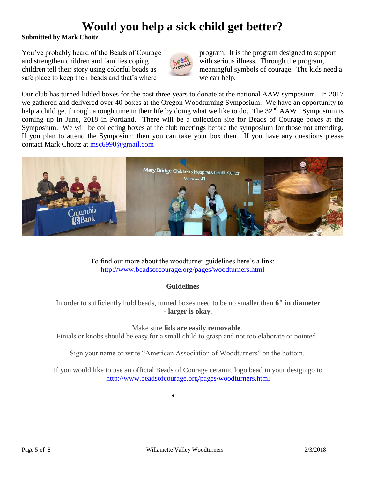# **Would you help a sick child get better?**

#### **Submitted by Mark Choitz**

You've probably heard of the Beads of Courage program. It is the program designed to support and strengthen children and families coping with serious illness. Through the program, safe place to keep their beads and that's where we can help.



children tell their story using colorful beads as meaningful symbols of courage. The kids need a

Our club has turned lidded boxes for the past three years to donate at the national AAW symposium. In 2017 we gathered and delivered over 40 boxes at the Oregon Woodturning Symposium. We have an opportunity to help a child get through a tough time in their life by doing what we like to do. The  $32<sup>nd</sup> AAW$  Symposium is coming up in June, 2018 in Portland. There will be a collection site for Beads of Courage boxes at the Symposium. We will be collecting boxes at the club meetings before the symposium for those not attending. If you plan to attend the Symposium then you can take your box then. If you have any questions please contact Mark Choitz at [msc6990@gmail.com](mailto:msc6990@gmail.com)



To find out more about the woodturner guidelines here's a link: <http://www.beadsofcourage.org/pages/woodturners.html>

## **Guidelines**

In order to sufficiently hold beads, turned boxes need to be no smaller than **6" in diameter - larger is okay**.

#### Make sure **lids are easily removable**.

Finials or knobs should be easy for a small child to grasp and not too elaborate or pointed.

Sign your name or write "American Association of Woodturners" on the bottom.

If you would like to use an official Beads of Courage ceramic logo bead in your design go to <http://www.beadsofcourage.org/pages/woodturners.html>

 $\bullet$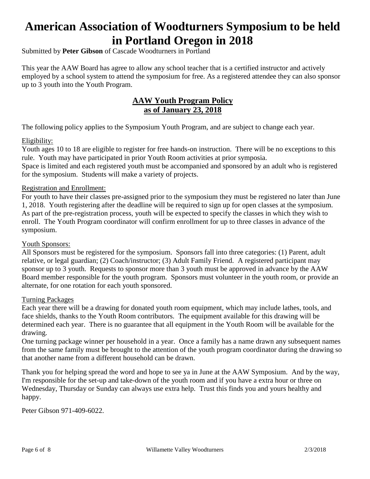# **American Association of Woodturners Symposium to be held in Portland Oregon in 2018**

Submitted by **Peter Gibson** of Cascade Woodturners in Portland

This year the AAW Board has agree to allow any school teacher that is a certified instructor and actively employed by a school system to attend the symposium for free. As a registered attendee they can also sponsor up to 3 youth into the Youth Program.

# **AAW Youth Program Policy as of January 23, 2018**

The following policy applies to the Symposium Youth Program, and are subject to change each year.

#### Eligibility:

Youth ages 10 to 18 are eligible to register for free hands-on instruction. There will be no exceptions to this rule. Youth may have participated in prior Youth Room activities at prior symposia. Space is limited and each registered youth must be accompanied and sponsored by an adult who is registered for the symposium. Students will make a variety of projects.

#### Registration and Enrollment:

For youth to have their classes pre-assigned prior to the symposium they must be registered no later than June 1, 2018. Youth registering after the deadline will be required to sign up for open classes at the symposium. As part of the pre-registration process, youth will be expected to specify the classes in which they wish to enroll. The Youth Program coordinator will confirm enrollment for up to three classes in advance of the symposium.

#### Youth Sponsors:

All Sponsors must be registered for the symposium. Sponsors fall into three categories: (1) Parent, adult relative, or legal guardian; (2) Coach/instructor; (3) Adult Family Friend. A registered participant may sponsor up to 3 youth. Requests to sponsor more than 3 youth must be approved in advance by the AAW Board member responsible for the youth program. Sponsors must volunteer in the youth room, or provide an alternate, for one rotation for each youth sponsored.

#### Turning Packages

Each year there will be a drawing for donated youth room equipment, which may include lathes, tools, and face shields, thanks to the Youth Room contributors. The equipment available for this drawing will be determined each year. There is no guarantee that all equipment in the Youth Room will be available for the drawing.

One turning package winner per household in a year. Once a family has a name drawn any subsequent names from the same family must be brought to the attention of the youth program coordinator during the drawing so that another name from a different household can be drawn.

Thank you for helping spread the word and hope to see ya in June at the AAW Symposium. And by the way, I'm responsible for the set-up and take-down of the youth room and if you have a extra hour or three on Wednesday, Thursday or Sunday can always use extra help. Trust this finds you and yours healthy and happy.

Peter Gibson 971-409-6022.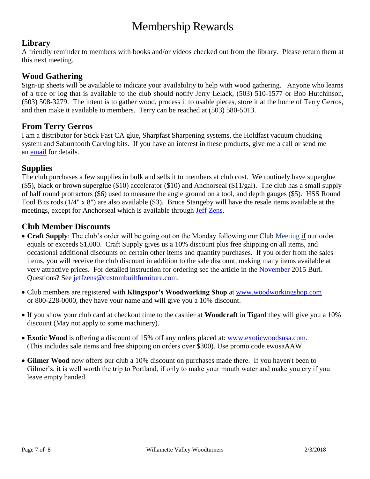# Membership Rewards

# **Library**

A friendly reminder to members with books and/or videos checked out from the library. Please return them at this next meeting.

## **Wood Gathering**

Sign-up sheets will be available to indicate your availability to help with wood gathering. Anyone who learns of a tree or log that is available to the club should notify Jerry Lelack, (503) 510-1577 or Bob Hutchinson, (503) 508-3279. The intent is to gather wood, process it to usable pieces, store it at the home of Terry Gerros, and then make it available to members. Terry can be reached at (503) 580-5013.

## **From Terry Gerros**

I am a distributor for Stick Fast CA glue, Sharpfast Sharpening systems, the Holdfast vacuum chucking system and Saburrtooth Carving bits. If you have an interest in these products, give me a call or send me an [email](mailto:gerrost@yahoo.com) for details.

## **Supplies**

The club purchases a few supplies in bulk and sells it to members at club cost. We routinely have superglue  $(\$5)$ , black or brown superglue  $(\$10)$  accelerator  $(\$10)$  and Anchorseal  $(\$11/gal)$ . The club has a small supply of half round protractors (\$6) used to measure the angle ground on a tool, and depth gauges (\$5). HSS Round Tool Bits rods (1/4" x 8") are also available (\$3). Bruce Stangeby will have the resale items available at the meetings, except for Anchorseal which is available through [Jeff Zens.](mailto:jszens@custombuiltfurniture.com)

# **Club Member Discounts**

- **Craft Supply**: The club's order will be going out on the Monday following our Club Meeting if our order equals or exceeds \$1,000. Craft Supply gives us a 10% discount plus free shipping on all items, and occasional additional discounts on certain other items and quantity purchases. If you order from the sales items, you will receive the club discount in addition to the sale discount, making many items available at very attractive prices. For detailed instruction for ordering see the article in the [November](http://www.willamettevalleywoodturners.com/newsletters/2015_11_WVW_Newsletter.pdf) 2015 Burl. Questions? See [jeffzens@custombuiltfurniture.com.](mailto:jeffzens@custombuiltfurniture.com.)
- Club members are registered with **Klingspor's Woodworking Shop** at [www.woodworkingshop.com](http://www.woodworkingshop.com/)  or 800-228-0000, they have your name and will give you a 10% discount.
- If you show your club card at checkout time to the cashier at **Woodcraft** in Tigard they will give you a 10% discount (May not apply to some machinery).
- **Exotic Wood** is offering a discount of 15% off any orders placed at: [www.exoticwoodsusa.com.](http://www.exoticwoodsusa.com/) (This includes sale items and free shipping on orders over \$300). Use promo code ewusaAAW
- **Gilmer Wood** now offers our club a 10% discount on purchases made there. If you haven't been to Gilmer's, it is well worth the trip to Portland, if only to make your mouth water and make you cry if you leave empty handed.